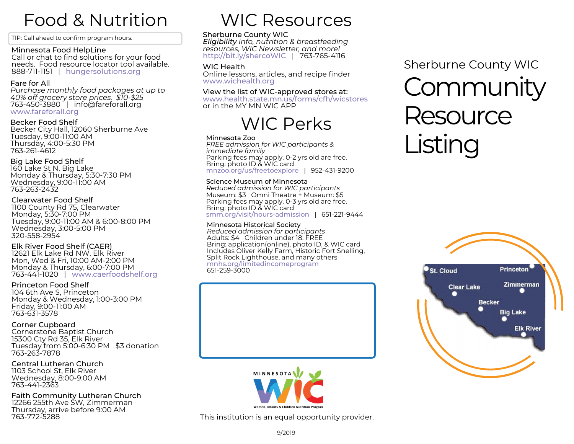## Food & Nutrition

TIP: Call ahead to confirm [program](http://www.hungersolutions.org/programs/mn-food-helpline/) hours.

#### Minnesota Food HelpLine

Call or chat to find solutions for your food needs. Food resource locator tool available. 888-711-1151 | [hungersolutions.org](http://www.hungersolutions.org/programs/mn-food-helpline/)

#### Fare for All

*Purchase monthly food packages at up to 40% off grocery store prices. \$10-\$25* 763-450-3880 | info@fareforall.org [www.fareforall.org](http://fareforall.org/)

#### Becker Food Shelf

Becker City Hall, 12060 Sherburne Ave Tuesday, 9:00-11:00 AM Thursday, 4:00-5:30 PM 763-261-4612

#### Big Lake Food Shelf

160 Lake St N, Big Lake Monday & Thursday, 5:30-7:30 PM Wednesday, 9:00-11:00 AM 763-263-2432

#### Clearwater Food Shelf

1100 County Rd 75, Clearwater Monday, 5:30-7:00 PM Tuesday, 9:00-11:00 AM & 6:00-8:00 PM Wednesday, 3:00-5:00 PM 320-558-2954

#### Elk River Food Shelf (CAER)

12621 Elk Lake Rd NW, Elk River Mon, Wed & Fri, 10:00 AM-2:00 PM Monday & Thursday, 6:00-7:00 PM 763-441-1020 | [www.caerfoodshelf.org](http://www.caerfoodshelf.org/)

#### Princeton Food Shelf

104 6th Ave S, Princeton Monday & Wednesday, 1:00-3:00 PM Friday, 9:00-11:00 AM 763-631-3578

#### Corner Cupboard

Cornerstone Baptist Church 15300 Cty Rd 35, Elk River Tuesday from 5:00-6:30 PM \$3 donation 763-263-7878

#### Central Lutheran Church 1103 School St, Elk River Wednesday, 8:00-9:00 AM 763-441-2363

Faith Community Lutheran Church 12266 255th Ave SW, Zimmerman Thursday, arrive before 9:00 AM 763-772-5288

### WIC Resources

#### Sherburne County WIC

*Eligibility info, nutrition & breastfeeding resources, WIC Newsletter, and more!* [http://bit.ly/shercoWIC](https://www.co.sherburne.mn.us/538/Women-Infants-Children-WIC-Program) | 763-765-4116

#### WIC Health

Online lessons, articles, and recipe finder [www.wichealth.org](http://www.wichealth.org/)

#### View the list of WIC-approved stores at:

[www.health.state.mn.us/forms/cfh/wicstores](http://www.health.state.mn.us/forms/cfh/wicstores/) or in the MY MN WIC APP

### WIC Perks

#### Minnesota Zoo

*FREE admission for WIC participants & immediate family* Parking fees may apply. 0-2 yrs old are free. Bring: photo ID & WIC card [mnzoo.org/us/freetoexplore](http://mnzoo.org/us/freetoexplore) | 952-431-9200

#### Science Museum of Minnesota

*Reduced admission for WIC participants* Museum: \$3 Omni Theatre + Museum: \$5 Parking fees may apply. 0-3 yrs old are free. Bring: photo ID & WIC card [smm.org/visit/hours-admission](http://smm.org/visit/hours-admission) | 651-221-9444

#### Minnesota Historical Society

*Reduced admission for participants* Adults: \$4 Children under 18: FREE Bring: application(online), photo ID, & WIC card Includes Oliver Kelly Farm, Historic Fort Snelling, Split Rock Lighthouse, and many others [mnhs.org/limitedincomeprogram](http://mnhs.org/limitedincomeprogram) 651-259-3000



# **Community** Resource Listing Sherburne County WIC





This institution is an equal opportunity provider.